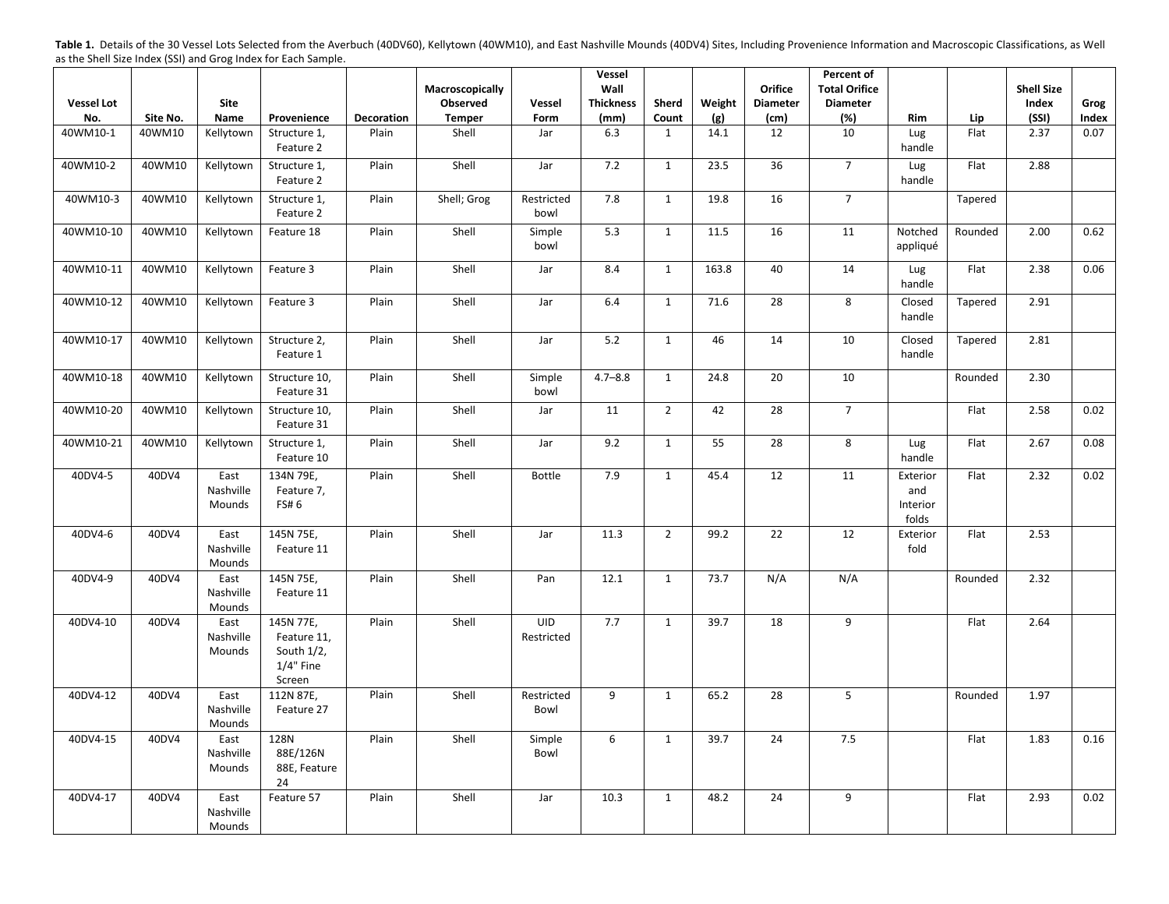Table 1. Details of the 30 Vessel Lots Selected from the Averbuch (40DV60), Kellytown (40WM10), and East Nashville Mounds (40DV4) Sites, Including Provenience Information and Macroscopic Classifications, as Well as the Shell Size Index (SSI) and Grog Index for Each Sample.

|                   |          |                             |                                                                    |            | Macroscopically |                    | Vessel<br>Wall   |                |        | Orifice         | Percent of<br><b>Total Orifice</b> |                                      |         | <b>Shell Size</b> |       |
|-------------------|----------|-----------------------------|--------------------------------------------------------------------|------------|-----------------|--------------------|------------------|----------------|--------|-----------------|------------------------------------|--------------------------------------|---------|-------------------|-------|
| <b>Vessel Lot</b> |          | Site                        |                                                                    |            | Observed        | Vessel             | <b>Thickness</b> | Sherd          | Weight | <b>Diameter</b> | <b>Diameter</b>                    |                                      |         | Index             | Grog  |
| No.               | Site No. | Name                        | Provenience                                                        | Decoration | <b>Temper</b>   | Form               | (mm)             | Count          | (g)    | (cm)            | (%)                                | Rim                                  | Lip     | (SSI)             | Index |
| 40WM10-1          | 40WM10   | Kellytown                   | Structure 1,<br>Feature 2                                          | Plain      | Shell           | Jar                | 6.3              | 1              | 14.1   | 12              | 10                                 | Lug<br>handle                        | Flat    | 2.37              | 0.07  |
| 40WM10-2          | 40WM10   | Kellytown                   | Structure 1,<br>Feature 2                                          | Plain      | Shell           | Jar                | 7.2              | $\mathbf{1}$   | 23.5   | 36              | $\overline{7}$                     | Lug<br>handle                        | Flat    | 2.88              |       |
| 40WM10-3          | 40WM10   | Kellytown                   | Structure 1,<br>Feature 2                                          | Plain      | Shell; Grog     | Restricted<br>bowl | 7.8              | 1              | 19.8   | 16              | $\overline{7}$                     |                                      | Tapered |                   |       |
| 40WM10-10         | 40WM10   | Kellytown                   | Feature 18                                                         | Plain      | Shell           | Simple<br>bowl     | 5.3              | 1              | 11.5   | 16              | 11                                 | Notched<br>appliqué                  | Rounded | 2.00              | 0.62  |
| 40WM10-11         | 40WM10   | Kellytown                   | Feature 3                                                          | Plain      | Shell           | Jar                | 8.4              | 1              | 163.8  | 40              | 14                                 | Lug<br>handle                        | Flat    | 2.38              | 0.06  |
| 40WM10-12         | 40WM10   | Kellytown                   | Feature 3                                                          | Plain      | Shell           | Jar                | 6.4              | $\mathbf{1}$   | 71.6   | 28              | 8                                  | Closed<br>handle                     | Tapered | 2.91              |       |
| 40WM10-17         | 40WM10   | Kellytown                   | Structure 2,<br>Feature 1                                          | Plain      | Shell           | Jar                | 5.2              | $\mathbf{1}$   | 46     | 14              | 10                                 | Closed<br>handle                     | Tapered | 2.81              |       |
| 40WM10-18         | 40WM10   | Kellytown                   | Structure 10,<br>Feature 31                                        | Plain      | Shell           | Simple<br>bowl     | $4.7 - 8.8$      | 1              | 24.8   | 20              | 10                                 |                                      | Rounded | 2.30              |       |
| 40WM10-20         | 40WM10   | Kellytown                   | Structure 10,<br>Feature 31                                        | Plain      | Shell           | Jar                | 11               | $\overline{2}$ | 42     | 28              | $\overline{7}$                     |                                      | Flat    | 2.58              | 0.02  |
| 40WM10-21         | 40WM10   | Kellytown                   | Structure 1,<br>Feature 10                                         | Plain      | Shell           | Jar                | 9.2              | $\mathbf{1}$   | 55     | 28              | 8                                  | Lug<br>handle                        | Flat    | 2.67              | 0.08  |
| 40DV4-5           | 40DV4    | East<br>Nashville<br>Mounds | 134N 79E,<br>Feature 7,<br>FS# 6                                   | Plain      | Shell           | <b>Bottle</b>      | 7.9              | 1              | 45.4   | 12              | 11                                 | Exterior<br>and<br>Interior<br>folds | Flat    | 2.32              | 0.02  |
| 40DV4-6           | 40DV4    | East<br>Nashville<br>Mounds | 145N 75E,<br>Feature 11                                            | Plain      | Shell           | Jar                | 11.3             | $\overline{2}$ | 99.2   | 22              | 12                                 | Exterior<br>fold                     | Flat    | 2.53              |       |
| 40DV4-9           | 40DV4    | East<br>Nashville<br>Mounds | 145N 75E,<br>Feature 11                                            | Plain      | Shell           | Pan                | 12.1             | $\mathbf{1}$   | 73.7   | N/A             | N/A                                |                                      | Rounded | 2.32              |       |
| 40DV4-10          | 40DV4    | East<br>Nashville<br>Mounds | 145N 77E,<br>Feature 11,<br>South $1/2$ ,<br>$1/4"$ Fine<br>Screen | Plain      | Shell           | UID<br>Restricted  | 7.7              | $\mathbf{1}$   | 39.7   | 18              | 9                                  |                                      | Flat    | 2.64              |       |
| 40DV4-12          | 40DV4    | East<br>Nashville<br>Mounds | 112N 87E,<br>Feature 27                                            | Plain      | Shell           | Restricted<br>Bowl | 9                | $\mathbf{1}$   | 65.2   | 28              | 5                                  |                                      | Rounded | 1.97              |       |
| 40DV4-15          | 40DV4    | East<br>Nashville<br>Mounds | 128N<br>88E/126N<br>88E, Feature<br>24                             | Plain      | Shell           | Simple<br>Bowl     | 6                | $\mathbf{1}$   | 39.7   | 24              | 7.5                                |                                      | Flat    | 1.83              | 0.16  |
| 40DV4-17          | 40DV4    | East<br>Nashville<br>Mounds | Feature 57                                                         | Plain      | Shell           | Jar                | 10.3             | $\mathbf{1}$   | 48.2   | 24              | 9                                  |                                      | Flat    | 2.93              | 0.02  |